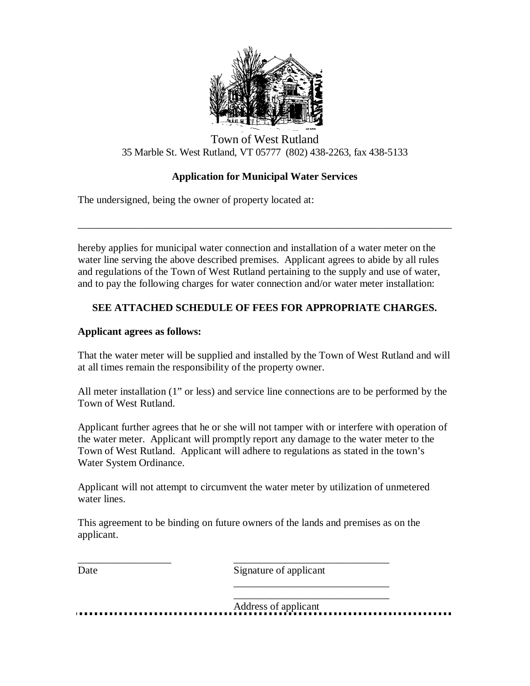

## Town of West Rutland 35 Marble St. West Rutland, VT 05777 (802) 438-2263, fax 438-5133

## **Application for Municipal Water Services**

\_\_\_\_\_\_\_\_\_\_\_\_\_\_\_\_\_\_\_\_\_\_\_\_\_\_\_\_\_\_\_\_\_\_\_\_\_\_\_\_\_\_\_\_\_\_\_\_\_\_\_\_\_\_\_\_\_\_\_\_\_\_\_\_\_\_\_\_\_\_\_\_

The undersigned, being the owner of property located at:

hereby applies for municipal water connection and installation of a water meter on the water line serving the above described premises. Applicant agrees to abide by all rules and regulations of the Town of West Rutland pertaining to the supply and use of water, and to pay the following charges for water connection and/or water meter installation:

## **SEE ATTACHED SCHEDULE OF FEES FOR APPROPRIATE CHARGES.**

## **Applicant agrees as follows:**

That the water meter will be supplied and installed by the Town of West Rutland and will at all times remain the responsibility of the property owner.

All meter installation (1" or less) and service line connections are to be performed by the Town of West Rutland.

Applicant further agrees that he or she will not tamper with or interfere with operation of the water meter. Applicant will promptly report any damage to the water meter to the Town of West Rutland. Applicant will adhere to regulations as stated in the town's Water System Ordinance.

Applicant will not attempt to circumvent the water meter by utilization of unmetered water lines.

This agreement to be binding on future owners of the lands and premises as on the applicant.

\_\_\_\_\_\_\_\_\_\_\_\_\_\_\_\_\_\_ \_\_\_\_\_\_\_\_\_\_\_\_\_\_\_\_\_\_\_\_\_\_\_\_\_\_\_\_\_\_

Date Signature of applicant

\_\_\_\_\_\_\_\_\_\_\_\_\_\_\_\_\_\_\_\_\_\_\_\_\_\_\_\_\_\_

\_\_\_\_\_\_\_\_\_\_\_\_\_\_\_\_\_\_\_\_\_\_\_\_\_\_\_\_\_\_ Address of applicant